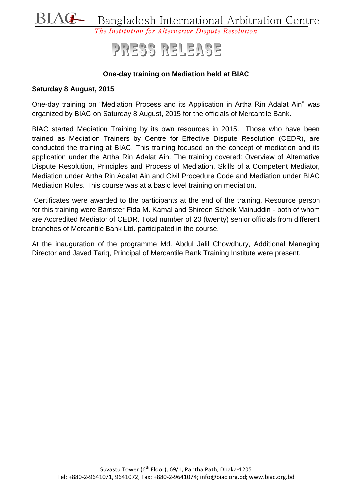

# PRESS RELEASE

### **One-day training on Mediation held at BIAC**

#### **Saturday 8 August, 2015**

One-day training on "Mediation Process and its Application in Artha Rin Adalat Ain" was organized by BIAC on Saturday 8 August, 2015 for the officials of Mercantile Bank.

BIAC started Mediation Training by its own resources in 2015. Those who have been trained as Mediation Trainers by Centre for Effective Dispute Resolution (CEDR), are conducted the training at BIAC. This training focused on the concept of mediation and its application under the Artha Rin Adalat Ain. The training covered: Overview of Alternative Dispute Resolution, Principles and Process of Mediation, Skills of a Competent Mediator, Mediation under Artha Rin Adalat Ain and Civil Procedure Code and Mediation under BIAC Mediation Rules. This course was at a basic level training on mediation.

Certificates were awarded to the participants at the end of the training. Resource person for this training were Barrister Fida M. Kamal and Shireen Scheik Mainuddin - both of whom are Accredited Mediator of CEDR. Total number of 20 (twenty) senior officials from different branches of Mercantile Bank Ltd. participated in the course.

At the inauguration of the programme Md. Abdul Jalil Chowdhury, Additional Managing Director and Javed Tariq, Principal of Mercantile Bank Training Institute were present.